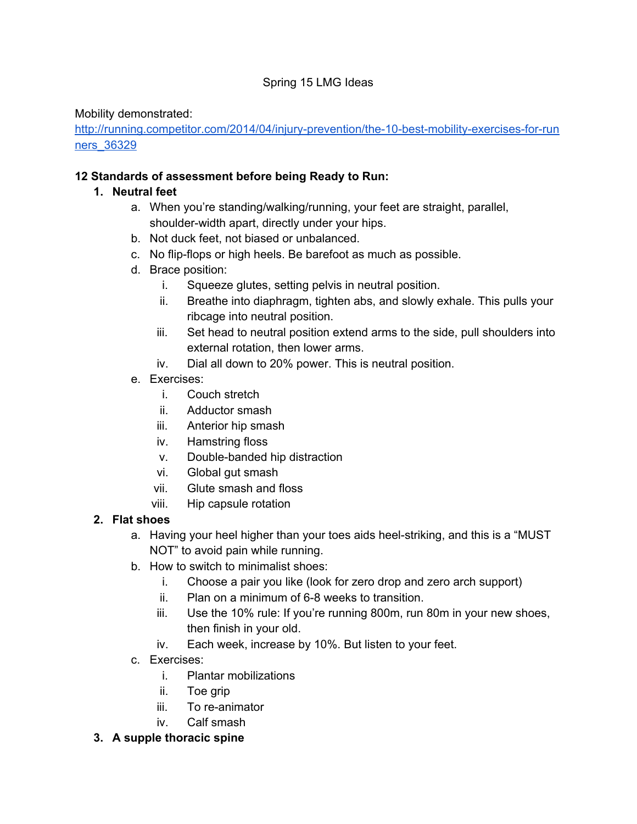#### Spring 15 LMG Ideas

Mobility demonstrated:

http://running.competitor.com/2014/04/injury-prevention/the-10-best-mobility-exercises-for-run [ners\\_36329](http://www.google.com/url?q=http%3A%2F%2Frunning.competitor.com%2F2014%2F04%2Finjury-prevention%2Fthe-10-best-mobility-exercises-for-runners_36329&sa=D&sntz=1&usg=AFQjCNFAEyg0Aq4JkIrzQpLMmzN_w6Z1ew)

#### **12 Standards of assessment before being Ready to Run:**

#### **1. Neutral feet**

- a. When you're standing/walking/running, your feet are straight, parallel, shoulder-width apart, directly under your hips.
- b. Not duck feet, not biased or unbalanced.
- c. No flip-flops or high heels. Be barefoot as much as possible.
- d. Brace position:
	- i. Squeeze glutes, setting pelvis in neutral position.
	- ii. Breathe into diaphragm, tighten abs, and slowly exhale. This pulls your ribcage into neutral position.
	- iii. Set head to neutral position extend arms to the side, pull shoulders into external rotation, then lower arms.
	- iv. Dial all down to 20% power. This is neutral position.
- e. Exercises:
	- i. Couch stretch
	- ii. Adductor smash
	- iii. Anterior hip smash
	- iv. Hamstring floss
	- v. Double-banded hip distraction
	- vi. Global gut smash
	- vii. Glute smash and floss
	- viii. Hip capsule rotation

# **2. Flat shoes**

- a. Having your heel higher than your toes aids heel-striking, and this is a "MUST NOT" to avoid pain while running.
- b. How to switch to minimalist shoes:
	- i. Choose a pair you like (look for zero drop and zero arch support)
	- $ii.$  Plan on a minimum of 6-8 weeks to transition.
	- iii. Use the 10% rule: If you're running 800m, run 80m in your new shoes, then finish in your old.
	- iv. Each week, increase by 10%. But listen to your feet.
- c. Exercises:
	- i. Plantar mobilizations
	- ii. Toe grip
	- iii. To re-animator
	- iv. Calf smash

#### **3. A supple thoracic spine**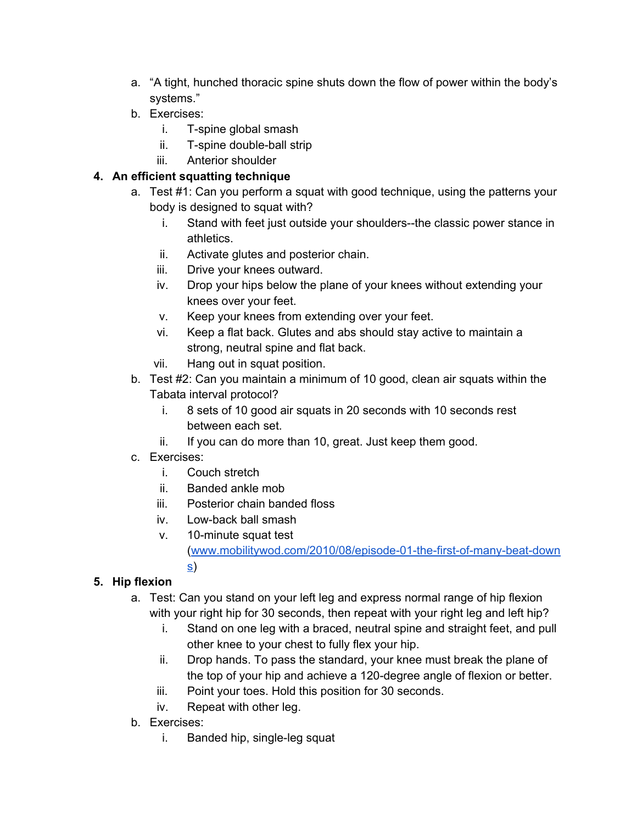- a. "A tight, hunched thoracic spine shuts down the flow of power within the body's systems."
- b. Exercises:
	- i. T-spine global smash
	- ii. T-spine double-ball strip
	- iii. Anterior shoulder

# **4. An efficient squatting technique**

- a. Test #1: Can you perform a squat with good technique, using the patterns your body is designed to squat with?
	- i. Stand with feet just outside your shoulders--the classic power stance in athletics.
	- ii. Activate glutes and posterior chain.
	- iii. Drive your knees outward.
	- iv. Drop your hips below the plane of your knees without extending your knees over your feet.
	- v. Keep your knees from extending over your feet.
	- vi. Keep a flat back. Glutes and abs should stay active to maintain a strong, neutral spine and flat back.
	- vii. Hang out in squat position.
- b. Test #2: Can you maintain a minimum of 10 good, clean air squats within the Tabata interval protocol?
	- i. 8 sets of 10 good air squats in 20 seconds with 10 seconds rest between each set.
	- ii. If you can do more than 10, great. Just keep them good.
- c. Exercises:
	- i. Couch stretch

[s\)](http://www.google.com/url?q=http%3A%2F%2Fwww.mobilitywod.com%2F2010%2F08%2Fepisode-01-the-first-of-many-beat-downs&sa=D&sntz=1&usg=AFQjCNEz4EF9w2DMd7PEv9FvLHSv_8xmLQ)

- ii. Banded ankle mob
- iii. Posterior chain banded floss
- iv. Low-back ball smash
- $v.$  10-minute squat test

(www.mobilitywod.com/2010/08/episode-01-the-first-of-many-beat-down

# **5. Hip flexion**

- a. Test: Can you stand on your left leg and express normal range of hip flexion with your right hip for 30 seconds, then repeat with your right leg and left hip?
	- i. Stand on one leg with a braced, neutral spine and straight feet, and pull other knee to your chest to fully flex your hip.
	- ii. Drop hands. To pass the standard, your knee must break the plane of the top of your hip and achieve a 120-degree angle of flexion or better.
	- iii. Point your toes. Hold this position for 30 seconds.
	- iv. Repeat with other leg.
- b. Exercises:
	- i. Banded hip, single-leg squat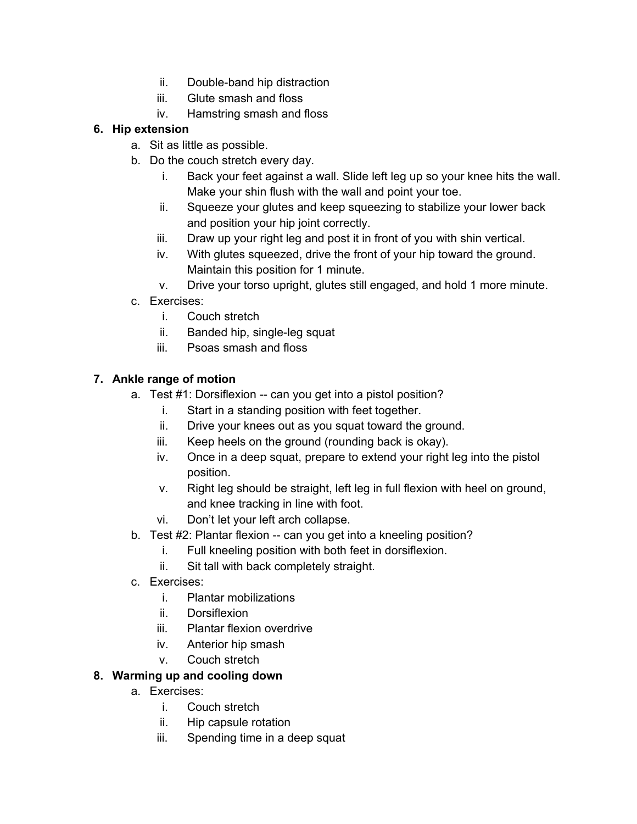- ii. Double-band hip distraction
- iii. Glute smash and floss
- iv. Hamstring smash and floss

#### **6. Hip extension**

- a. Sit as little as possible.
- b. Do the couch stretch every day.
	- i. Back your feet against a wall. Slide left leg up so your knee hits the wall. Make your shin flush with the wall and point your toe.
	- ii. Squeeze your glutes and keep squeezing to stabilize your lower back and position your hip joint correctly.
	- iii. Draw up your right leg and post it in front of you with shin vertical.
	- iv. With glutes squeezed, drive the front of your hip toward the ground. Maintain this position for 1 minute.
	- v. Drive your torso upright, glutes still engaged, and hold 1 more minute.
- c. Exercises:
	- i. Couch stretch
	- ii. Banded hip, single-leg squat
	- iii. Psoas smash and floss

#### **7. Ankle range of motion**

- a. Test #1: Dorsiflexion -- can you get into a pistol position?
	- i. Start in a standing position with feet together.
	- ii. Drive your knees out as you squat toward the ground.
	- iii. Keep heels on the ground (rounding back is okay).
	- iv. Once in a deep squat, prepare to extend your right leg into the pistol position.
	- v. Right leg should be straight, left leg in full flexion with heel on ground, and knee tracking in line with foot.
	- vi. Don't let your left arch collapse.
- b. Test #2: Plantar flexion -- can you get into a kneeling position?
	- i. Full kneeling position with both feet in dorsiflexion.
	- ii. Sit tall with back completely straight.
- c. Exercises:
	- i. Plantar mobilizations
	- ii. Dorsiflexion
	- iii. Plantar flexion overdrive
	- iv. Anterior hip smash
	- v. Couch stretch

#### **8. Warming up and cooling down**

- a. Exercises:
	- i. Couch stretch
	- ii. Hip capsule rotation
	- iii. Spending time in a deep squat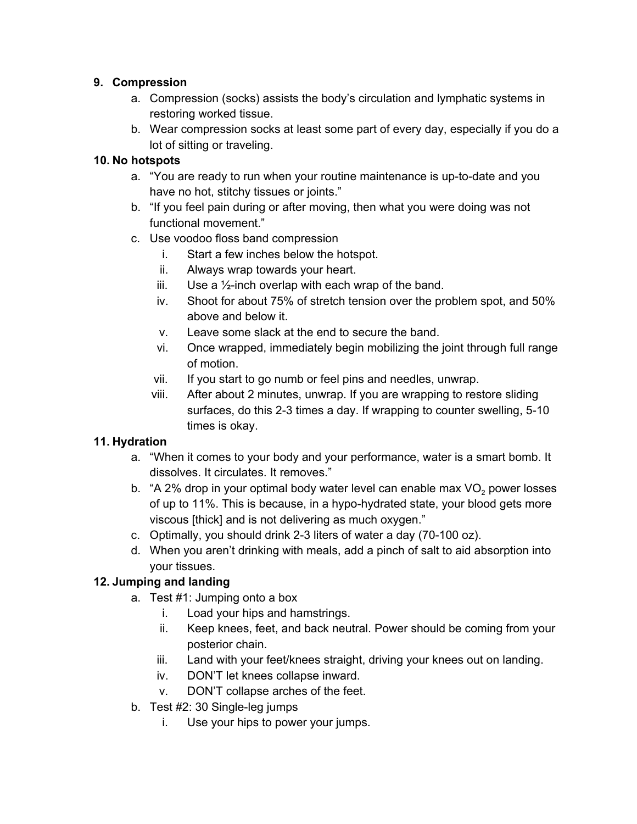#### **9. Compression**

- a. Compression (socks) assists the body's circulation and lymphatic systems in restoring worked tissue.
- b. Wear compression socks at least some part of every day, especially if you do a lot of sitting or traveling.

#### **10. No hotspots**

- a. "You are ready to run when your routine maintenance is up-to-date and you have no hot, stitchy tissues or joints."
- b. "If you feel pain during or after moving, then what you were doing was not functional movement."
- c. Use voodoo floss band compression
	- i. Start a few inches below the hotspot.
	- ii. Always wrap towards your heart.
	- iii. Use a  $\frac{1}{2}$ -inch overlap with each wrap of the band.
	- iv. Shoot for about 75% of stretch tension over the problem spot, and 50% above and below it.
	- v. Leave some slack at the end to secure the band.
	- vi. Once wrapped, immediately begin mobilizing the joint through full range of motion.
	- vii. If you start to go numb or feel pins and needles, unwrap.
	- viii. After about 2 minutes, unwrap. If you are wrapping to restore sliding surfaces, do this 2-3 times a day. If wrapping to counter swelling, 5-10 times is okay.

# **11. Hydration**

- a. "When it comes to your body and your performance, water is a smart bomb. It dissolves. It circulates. It removes."
- b. "A 2% drop in your optimal body water level can enable max  $VO<sub>2</sub>$  power losses of up to 11%. This is because, in a hypo-hydrated state, your blood gets more viscous [thick] and is not delivering as much oxygen."
- c. Optimally, you should drink 2-3 liters of water a day (70-100 oz).
- d. When you aren't drinking with meals, add a pinch of salt to aid absorption into your tissues.

# **12. Jumping and landing**

- a. Test #1: Jumping onto a box
	- i. Load your hips and hamstrings.
	- ii. Keep knees, feet, and back neutral. Power should be coming from your posterior chain.
	- iii. Land with your feet/knees straight, driving your knees out on landing.
	- iv. DON'T let knees collapse inward.
	- v. DON'T collapse arches of the feet.
- b. Test  $#2:30$  Single-leg jumps
	- i. Use your hips to power your jumps.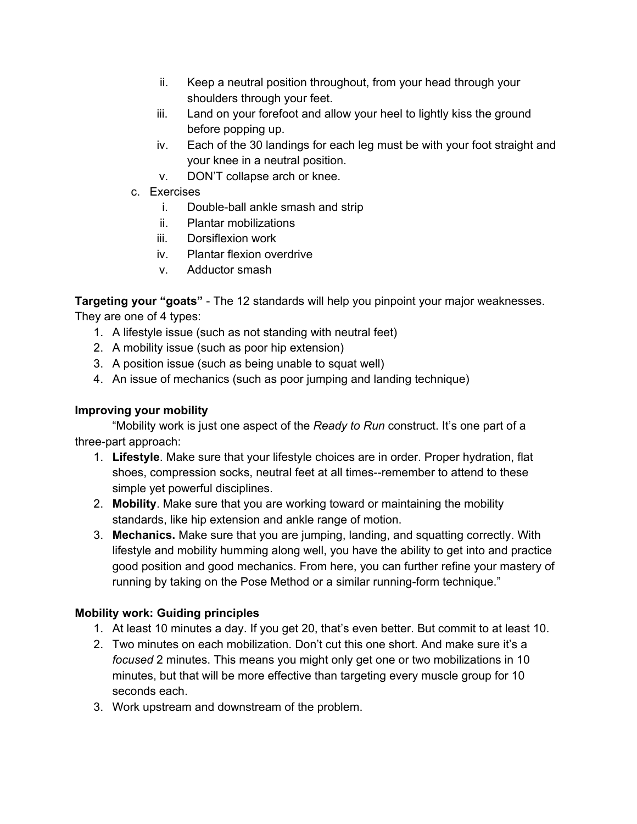- ii. Keep a neutral position throughout, from your head through your shoulders through your feet.
- iii. Land on your forefoot and allow your heel to lightly kiss the ground before popping up.
- iv. Each of the 30 landings for each leg must be with your foot straight and your knee in a neutral position.
- v. DON'T collapse arch or knee.
- c. Exercises
	- i. Double-ball ankle smash and strip
	- ii. Plantar mobilizations
	- iii. Dorsiflexion work
	- iv. Plantar flexion overdrive
	- v. Adductor smash

**Targeting your "goats"** - The 12 standards will help you pinpoint your major weaknesses.

They are one of 4 types:

- 1. A lifestyle issue (such as not standing with neutral feet)
- 2. A mobility issue (such as poor hip extension)
- 3. A position issue (such as being unable to squat well)
- 4. An issue of mechanics (such as poor jumping and landing technique)

#### **Improving your mobility**

"Mobility work is just one aspect of the *Ready to Run* construct. It's one part of a three-part approach:

- 1. **Lifestyle**. Make sure that your lifestyle choices are in order. Proper hydration, flat shoes, compression socks, neutral feet at all times--remember to attend to these simple yet powerful disciplines.
- 2. **Mobility**. Make sure that you are working toward or maintaining the mobility standards, like hip extension and ankle range of motion.
- 3. **Mechanics.**Make sure that you are jumping, landing, and squatting correctly. With lifestyle and mobility humming along well, you have the ability to get into and practice good position and good mechanics. From here, you can further refine your mastery of running by taking on the Pose Method or a similar running-form technique."

# **Mobility work: Guiding principles**

- 1. At least 10 minutes a day. If you get 20, that's even better. But commit to at least 10.
- 2. Two minutes on each mobilization. Don't cut this one short. And make sure it's a *focused* 2 minutes. This means you might only get one or two mobilizations in 10 minutes, but that will be more effective than targeting every muscle group for 10 seconds each.
- 3. Work upstream and downstream of the problem.